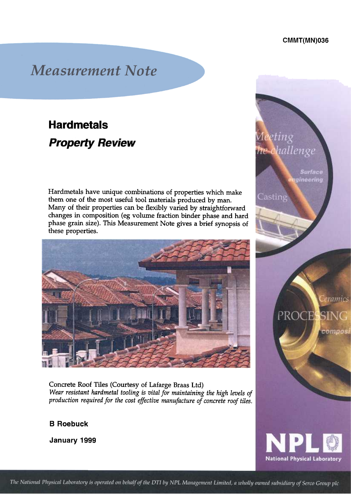enge

Casting

Surface gineering

eramics

compos

PROCESSING

**National Physical Laboratory** 

## **Measurement Note**

# **Hardmetals Property Review**

Hardmetals have unique combinations of properties which make them one of the most useful tool materials produced by man. Many of their properties can be flexibly varied by straightforward changes in composition (eg volume fraction binder phase and hard phase grain size). This Measurement Note gives a brief synopsis of these properties.



Concrete Roof Tiles (Courtesy of Lafarge Braas Ltd) Wear resistant hardmetal tooling is vital for maintaining the high levels of production required for the cost effective manufacture of concrete roof tiles.

### B Roebuck

January 1999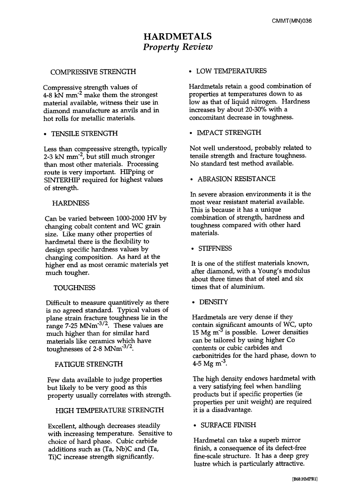## HARDMETALS Property Review

#### COMPRESSIVE STRENGTH . LOW TEMPERATURES

Compressive strength values of 4-8  $\text{kN mm}^2$  make them the strongest material available, witness their use in diamond manufacture as anvils and in hot rolls for metallic materials.

Less than compressive strength, typically 2-3 kN mm<sup>-2</sup>, but still much stronger than most other materials. Processing route is very important. HIPping or SINTERHIP required for highest values of strength.

#### **HARDNESS**

Can be varied between 1000-2000 HV by changing cobalt content and WC grain size. Like many other properties of hardmetal there is the flexibility to design specific hardness values by changing composition. As hard at the higher end as most ceramic materials yet much tougher.

#### **TOUGHNESS**

Difficult to measure quantitively as there is no agreed standard. Typical values of plane strain fracture toughness lie in the range  $7-25$  MNm<sup>-3/2</sup>. These values are much higher than for similar hard materials like ceramics which have toughnesses of  $2-8$  MNm<sup>-3/2</sup>.

FATIGUE STRENGTH  $4-5$  Mg m<sup>-3</sup>.

Few data available to judge properties but likely to be very good as this property usually correlates with strength.

HIGH TEMPERATURE STRENGTH it is a disadvantage.

Excellent, although decreases steadily • SURFACE FINISH with increasing temperature. Sensitive to choice of hard phase. Cubic carbide additions such as (Ta, Nb)C and (Ta, Ti)C increase strength significantly.

Hardmetals retain a good combination of properties at temperatures down to as low as that of liquid nitrogen. Hardness increases by about 20-30% with a concomitant decrease in toughness.

• TENSILE STRENGTH . IMPACT STRENGTH

Not well understood, probably related to tensile strength and fracture toughness. No standard test method available.

• ABRASION RESISTANCE

In severe abrasion environments it is the most wear resistant material available. This is because it has a unique combination of strength, hardness and toughness compared with other hard materials.

• STIFFNESS

It is one of the stiffest materials known, after diamond, with a Young's modulus about three times that of steel and six times that of aluminium.

.DENSITY

Hardmetals are very dense if they contain significant amounts of WC, upto 15 Mg  $m<sup>-3</sup>$  is possible. Lower densities can be tailored by using higher Co contents or cubic carbides and carbonitrides for the hard phase, down to

The high density endows hardmetal with a very satisfying feel when handling products but if specific properties (ie properties per unit weight) are required

Hardmetal can take a superb mirror finish, a consequence of its defect-free fine-scale structure. It has a deep grey lustre which is particularly attractive.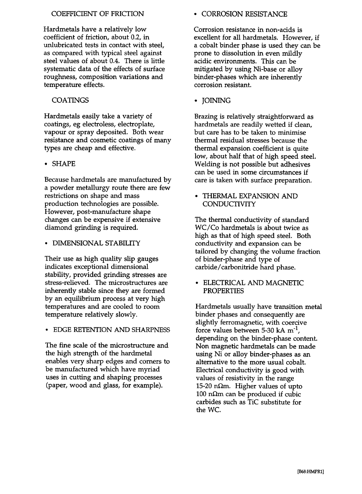### COEFFICIENT OF FRICTION . CORROSION RESISTANCE

Hardmetals have a relatively low coefficient of friction, about 0.2, in unlubricated tests in contact with steel, as compared with typical steel against steel values of about 0.4. There is little systematic data of the effects of surface roughness, composition variations and temperature effects.

### COATINGS • IOINING

Hardmetals easily take a variety of coatings, eg electroless, electroplate, vapour or spray deposited. Both wear resistance and cosmetic coatings of many types are cheap and effective.

#### .SHAPE

Because hardmetals are manufactured by a powder metallurgy route there are few restrictions on shape and mass production technologies are possible. However, post-manufacture shape changes can be expensive if extensive diamond grinding is required.

• DIMENSIONAL STABILITY

Their use as high quality slip gauges indicates exceptional dimensional stability, provided grinding stresses are stress-relieved. The microstructures are inherently stable since they are formed by an equilibrium process at very high temperatures and are cooled to room temperature relatively slowly.

.EDGE RETENTION AND SHARPNESS

The fine scale of the microstructure and the high strength of the hardmetal enables very sharp edges and corners to be manufactured which have myriad uses in cutting and shaping processes (paper, wood and glass, for example).

Corrosion resistance in non-acids is excellent for all hardmetals. However, if a cobalt binder phase is used they can be prone to dissolution in even mildly acidic environments. This can be mitigated by using Ni-base or alloy binder-phases which are inherently corrosion resistant.

Brazing is relatively straightforward as hardmetals are readily wetted if clean, but care has to be taken to minimise thermal residual stresses because the thermal expansion coefficient is quite low, about half that of high speed steel. Welding is not possible but adhesives can be used in some circumstances if care is taken with surface preparation.

.THERMAL EXPANSION AND **CONDUCTIVITY** 

The thermal conductivity of standard WC/Co hardmetals is about twice as high as that of high speed steel. Both conductivity and expansion can be tailored by changing the volume fraction of binder-phase and type of carbide/ carbonitride hard phase.

.ELECTRICAL AND MAGNETIC PROPERTIES

Hardmetals usually have transition metal binder phases and consequently are slightly ferromagnetic, with coercive force values between 5-30 kA  $m^{-1}$ , depending on the binder-phase content. Non magnetic hardmetals can be made using Ni or alloy binder-phases as an alternative to the more usual cobalt. Electrical conductivity is good with values of resistivity in the range 15-20 n $\Omega$ m. Higher values of upto 100 n $\Omega$ m can be produced if cubic carbides such as TiC substitute for the WC.